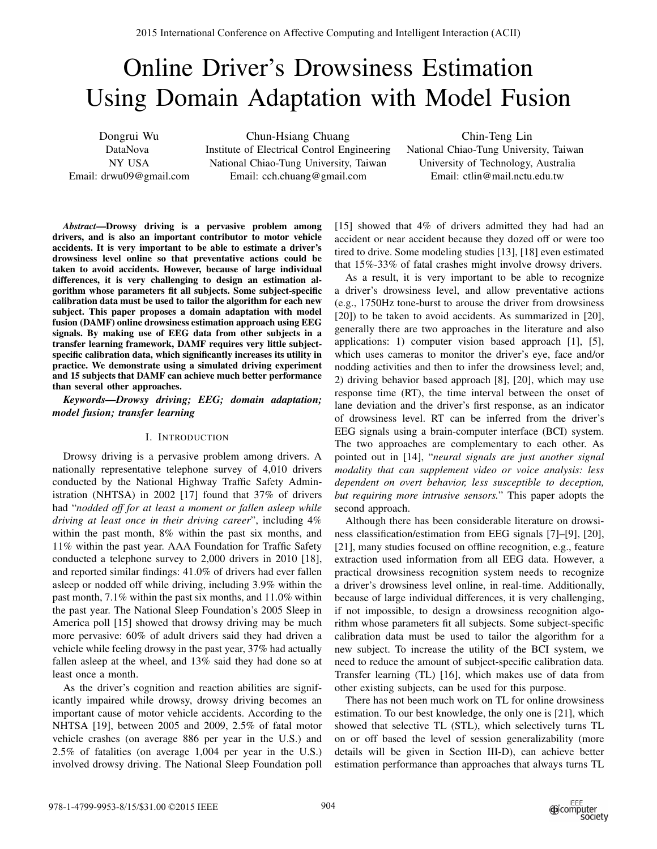# Online Driver's Drowsiness Estimation Using Domain Adaptation with Model Fusion

Dongrui Wu DataNova NY USA Email: drwu09@gmail.com

Chun-Hsiang Chuang Institute of Electrical Control Engineering National Chiao-Tung University, Taiwan Email: cch.chuang@gmail.com

Chin-Teng Lin National Chiao-Tung University, Taiwan University of Technology, Australia Email: ctlin@mail.nctu.edu.tw

*Abstract***—Drowsy driving is a pervasive problem among drivers, and is also an important contributor to motor vehicle accidents. It is very important to be able to estimate a driver's drowsiness level online so that preventative actions could be taken to avoid accidents. However, because of large individual differences, it is very challenging to design an estimation algorithm whose parameters fit all subjects. Some subject-specific calibration data must be used to tailor the algorithm for each new subject. This paper proposes a domain adaptation with model fusion (DAMF) online drowsiness estimation approach using EEG signals. By making use of EEG data from other subjects in a transfer learning framework, DAMF requires very little subjectspecific calibration data, which significantly increases its utility in practice. We demonstrate using a simulated driving experiment and 15 subjects that DAMF can achieve much better performance than several other approaches.**

*Keywords—Drowsy driving; EEG; domain adaptation; model fusion; transfer learning*

# I. INTRODUCTION

Drowsy driving is a pervasive problem among drivers. A nationally representative telephone survey of 4,010 drivers conducted by the National Highway Traffic Safety Administration (NHTSA) in 2002 [17] found that 37% of drivers had "*nodded off for at least a moment or fallen asleep while driving at least once in their driving career*", including 4% within the past month, 8% within the past six months, and 11% within the past year. AAA Foundation for Traffic Safety conducted a telephone survey to 2,000 drivers in 2010 [18], and reported similar findings: 41.0% of drivers had ever fallen asleep or nodded off while driving, including 3.9% within the past month, 7.1% within the past six months, and 11.0% within the past year. The National Sleep Foundation's 2005 Sleep in America poll [15] showed that drowsy driving may be much more pervasive: 60% of adult drivers said they had driven a vehicle while feeling drowsy in the past year, 37% had actually fallen asleep at the wheel, and 13% said they had done so at least once a month. 2815 Islamentost Conference on Affective Computing and Intelligent Internation (ACII)<br>
2878-1-4799-9978-1-4799-9985-8/2015 ISBN 0-4799-9985-8-2015 Interactional Content Intelligent Computing and Computing Computing Comput

As the driver's cognition and reaction abilities are significantly impaired while drowsy, drowsy driving becomes an important cause of motor vehicle accidents. According to the NHTSA [19], between 2005 and 2009, 2.5% of fatal motor vehicle crashes (on average 886 per year in the U.S.) and 2.5% of fatalities (on average 1,004 per year in the U.S.) involved drowsy driving. The National Sleep Foundation poll [15] showed that 4% of drivers admitted they had had an accident or near accident because they dozed off or were too tired to drive. Some modeling studies [13], [18] even estimated that 15%-33% of fatal crashes might involve drowsy drivers.

As a result, it is very important to be able to recognize a driver's drowsiness level, and allow preventative actions (e.g., 1750Hz tone-burst to arouse the driver from drowsiness [20]) to be taken to avoid accidents. As summarized in [20], generally there are two approaches in the literature and also applications: 1) computer vision based approach [1], [5], which uses cameras to monitor the driver's eye, face and/or nodding activities and then to infer the drowsiness level; and, 2) driving behavior based approach [8], [20], which may use response time (RT), the time interval between the onset of lane deviation and the driver's first response, as an indicator of drowsiness level. RT can be inferred from the driver's EEG signals using a brain-computer interface (BCI) system. The two approaches are complementary to each other. As pointed out in [14], "*neural signals are just another signal modality that can supplement video or voice analysis: less dependent on overt behavior, less susceptible to deception, but requiring more intrusive sensors.*" This paper adopts the second approach.

Although there has been considerable literature on drowsiness classification/estimation from EEG signals [7]–[9], [20], [21], many studies focused on offline recognition, e.g., feature extraction used information from all EEG data. However, a practical drowsiness recognition system needs to recognize a driver's drowsiness level online, in real-time. Additionally, because of large individual differences, it is very challenging, if not impossible, to design a drowsiness recognition algorithm whose parameters fit all subjects. Some subject-specific calibration data must be used to tailor the algorithm for a new subject. To increase the utility of the BCI system, we need to reduce the amount of subject-specific calibration data. Transfer learning (TL) [16], which makes use of data from other existing subjects, can be used for this purpose.

There has not been much work on TL for online drowsiness estimation. To our best knowledge, the only one is [21], which showed that selective TL (STL), which selectively turns TL on or off based the level of session generalizability (more details will be given in Section III-D), can achieve better estimation performance than approaches that always turns TL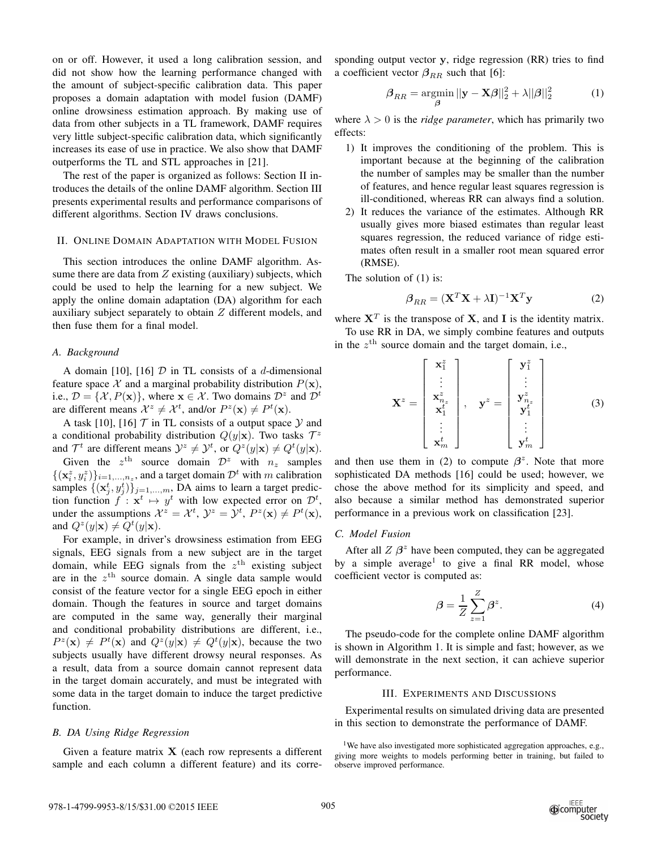on or off. However, it used a long calibration session, and did not show how the learning performance changed with the amount of subject-specific calibration data. This paper proposes a domain adaptation with model fusion (DAMF) online drowsiness estimation approach. By making use of data from other subjects in a TL framework, DAMF requires very little subject-specific calibration data, which significantly increases its ease of use in practice. We also show that DAMF outperforms the TL and STL approaches in [21].

The rest of the paper is organized as follows: Section II introduces the details of the online DAMF algorithm. Section III presents experimental results and performance comparisons of different algorithms. Section IV draws conclusions.

## II. ONLINE DOMAIN ADAPTATION WITH MODEL FUSION

This section introduces the online DAMF algorithm. Assume there are data from  $Z$  existing (auxiliary) subjects, which could be used to help the learning for a new subject. We apply the online domain adaptation (DA) algorithm for each auxiliary subject separately to obtain  $Z$  different models, and then fuse them for a final model.

# *A. Background*

A domain [10], [16]  $D$  in TL consists of a d-dimensional feature space X and a marginal probability distribution  $P(\mathbf{x})$ , i.e.,  $\mathcal{D} = \{X, P(\mathbf{x})\}$ , where  $\mathbf{x} \in \mathcal{X}$ . Two domains  $\mathcal{D}^z$  and  $\mathcal{D}^t$ are different means  $\mathcal{X}^z \neq \mathcal{X}^t$ , and/or  $P^z(\mathbf{x}) \neq P^t(\mathbf{x})$ .

A task [10], [16]  $\mathcal T$  in TL consists of a output space  $\mathcal Y$  and a conditional probability distribution  $Q(y|\mathbf{x})$ . Two tasks  $\mathcal{T}^z$ and  $\mathcal{T}^t$  are different means  $\mathcal{Y}^z \neq \mathcal{Y}^t$ , or  $Q^z(y|\mathbf{x}) \neq Q^t(y|\mathbf{x})$ .

Given the  $z^{\text{th}}$  source domain  $\mathcal{D}^z$  with  $n_z$  samples  $\{(\mathbf{x}_i^z, y_i^z)\}_{i=1,\dots,n_z}$ , and a target domain  $\mathcal{D}^t$  with m calibration samples  $\{(\mathbf{x}_j^t, y_j^t)\}_{j=1,\dots,m}$ , DA aims to learn a target prediction function  $f: \mathbf{x}^t \mapsto y^t$  with low expected error on  $\mathcal{D}^t$ , under the assumptions  $\mathcal{X}^z = \mathcal{X}^t$ ,  $\mathcal{Y}^z = \mathcal{Y}^t$ ,  $P^z(\mathbf{x}) \neq P^t(\mathbf{x})$ , and  $Q^z(y|\mathbf{x}) \neq Q^t(y|\mathbf{x})$ .

For example, in driver's drowsiness estimation from EEG signals, EEG signals from a new subject are in the target domain, while EEG signals from the  $z<sup>th</sup>$  existing subject are in the  $z^{\text{th}}$  source domain. A single data sample would consist of the feature vector for a single EEG epoch in either domain. Though the features in source and target domains are computed in the same way, generally their marginal and conditional probability distributions are different, i.e.,  $P^{z}(\mathbf{x}) \neq P^{t}(\mathbf{x})$  and  $Q^{z}(y|\mathbf{x}) \neq Q^{t}(y|\mathbf{x})$ , because the two subjects usually have different drowsy neural responses. As a result, data from a source domain cannot represent data in the target domain accurately, and must be integrated with some data in the target domain to induce the target predictive function.

#### *B. DA Using Ridge Regression*

Given a feature matrix  $X$  (each row represents a different sample and each column a different feature) and its corresponding output vector y, ridge regression (RR) tries to find a coefficient vector  $\beta_{RR}$  such that [6]:

$$
\beta_{RR} = \underset{\beta}{\text{argmin}} \, ||\mathbf{y} - \mathbf{X}\beta||_2^2 + \lambda ||\beta||_2^2 \tag{1}
$$

where  $\lambda > 0$  is the *ridge parameter*, which has primarily two effects:

- 1) It improves the conditioning of the problem. This is important because at the beginning of the calibration the number of samples may be smaller than the number of features, and hence regular least squares regression is ill-conditioned, whereas RR can always find a solution.
- 2) It reduces the variance of the estimates. Although RR usually gives more biased estimates than regular least squares regression, the reduced variance of ridge estimates often result in a smaller root mean squared error (RMSE).

The solution of (1) is:

$$
\beta_{RR} = (\mathbf{X}^T \mathbf{X} + \lambda \mathbf{I})^{-1} \mathbf{X}^T \mathbf{y}
$$
 (2)

where  $X<sup>T</sup>$  is the transpose of X, and I is the identity matrix. To use RR in DA, we simply combine features and outputs in the  $z^{\text{th}}$  source domain and the target domain, i.e.,

$$
\mathbf{X}^{z} = \begin{bmatrix} \mathbf{x}_{1}^{z} \\ \vdots \\ \mathbf{x}_{n_{z}}^{z} \\ \mathbf{x}_{1}^{t} \\ \vdots \\ \mathbf{x}_{m}^{t} \end{bmatrix}, \quad \mathbf{y}^{z} = \begin{bmatrix} \mathbf{y}_{1}^{z} \\ \vdots \\ \mathbf{y}_{n_{z}}^{z} \\ \mathbf{y}_{1}^{t} \\ \vdots \\ \mathbf{y}_{m}^{t} \end{bmatrix}
$$
(3)

and then use them in (2) to compute  $\beta^z$ . Note that more sophisticated DA methods [16] could be used; however, we chose the above method for its simplicity and speed, and also because a similar method has demonstrated superior performance in a previous work on classification [23].

#### *C. Model Fusion*

After all  $Z \beta^z$  have been computed, they can be aggregated by a simple average<sup>1</sup> to give a final RR model, whose coefficient vector is computed as:

$$
\beta = \frac{1}{Z} \sum_{z=1}^{Z} \beta^z.
$$
 (4)

The pseudo-code for the complete online DAMF algorithm is shown in Algorithm 1. It is simple and fast; however, as we will demonstrate in the next section, it can achieve superior performance.

#### III. EXPERIMENTS AND DISCUSSIONS

Experimental results on simulated driving data are presented in this section to demonstrate the performance of DAMF.

<sup>&</sup>lt;sup>1</sup>We have also investigated more sophisticated aggregation approaches, e.g., giving more weights to models performing better in training, but failed to observe improved performance.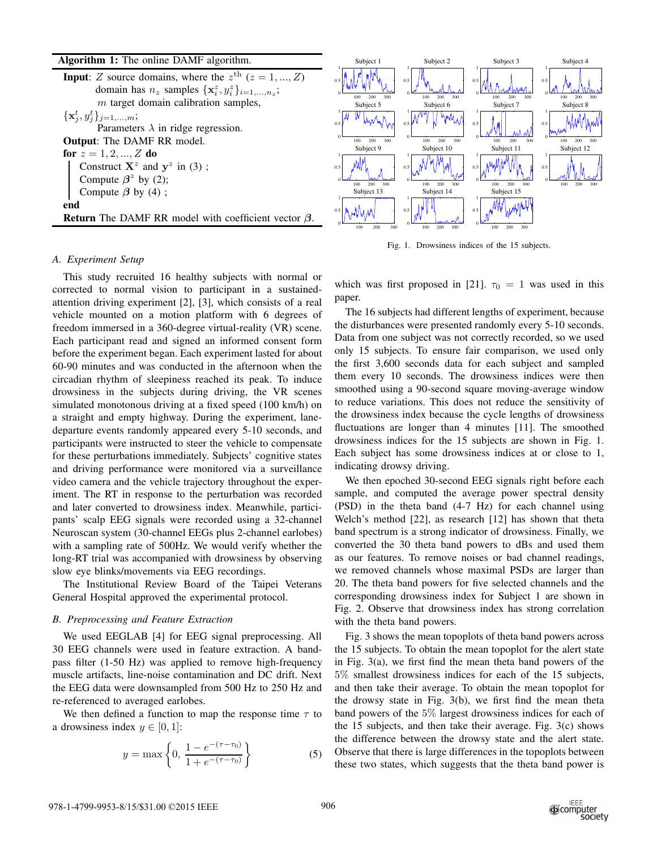| Algorithm 1: The online DAMF algorithm. |  |  |  |  |  |
|-----------------------------------------|--|--|--|--|--|
|-----------------------------------------|--|--|--|--|--|

| <b>Input:</b> Z source domains, where the $z^{\text{th}}$ ( $z = 1, , Z$ )<br>domain has $n_z$ samples $\{x_i^z, y_i^z\}_{i=1,\ldots,n_z}$ ; | 300<br>200<br>100                     | 0.5<br>200<br>300<br>100               | 0.5<br>200<br>300<br>100        | 0.5<br>200<br>100 |
|----------------------------------------------------------------------------------------------------------------------------------------------|---------------------------------------|----------------------------------------|---------------------------------|-------------------|
| $m$ target domain calibration samples,                                                                                                       | Subject 5                             | Subject 6                              | Subject 7                       | Subject 8         |
| $\{{\mathbf x}^t_i, y^t_j\}_{j=1,,m};$<br>Parameters $\lambda$ in ridge regression.                                                          |                                       |                                        | 0.5                             | 0.5               |
| <b>Output:</b> The DAMF RR model.                                                                                                            | 200<br>300<br>100                     | 300<br>200<br>100                      | 300<br>200<br>100               | 200               |
| for $z = 1, 2, , Z$ do<br>Construct $X^z$ and $y^z$ in (3);<br>Compute $\beta^z$ by (2);                                                     | Subject 9<br>0.5<br>200<br>300<br>100 | Subject 10<br>0.5<br>200<br>300<br>100 | Subject 11<br>200<br>300<br>100 | Subject 12<br>0.5 |
| Compute $\beta$ by (4);                                                                                                                      | Subject 13                            | Subject 14                             | Subject 15                      |                   |
| end<br><b>Return</b> The DAMF RR model with coefficient vector $\beta$ .                                                                     | 200<br>300<br>100                     | 0.5<br>200<br>300<br>100               | 0.5<br>100                      |                   |
|                                                                                                                                              |                                       |                                        |                                 |                   |

Subject 1

## *A. Experiment Setup*

This study recruited 16 healthy subjects with normal or corrected to normal vision to participant in a sustainedattention driving experiment [2], [3], which consists of a real vehicle mounted on a motion platform with 6 degrees of freedom immersed in a 360-degree virtual-reality (VR) scene. Each participant read and signed an informed consent form before the experiment began. Each experiment lasted for about 60-90 minutes and was conducted in the afternoon when the circadian rhythm of sleepiness reached its peak. To induce drowsiness in the subjects during driving, the VR scenes simulated monotonous driving at a fixed speed (100 km/h) on a straight and empty highway. During the experiment, lanedeparture events randomly appeared every 5-10 seconds, and participants were instructed to steer the vehicle to compensate for these perturbations immediately. Subjects' cognitive states and driving performance were monitored via a surveillance video camera and the vehicle trajectory throughout the experiment. The RT in response to the perturbation was recorded and later converted to drowsiness index. Meanwhile, participants' scalp EEG signals were recorded using a 32-channel Neuroscan system (30-channel EEGs plus 2-channel earlobes) with a sampling rate of 500Hz. We would verify whether the long-RT trial was accompanied with drowsiness by observing slow eye blinks/movements via EEG recordings.

The Institutional Review Board of the Taipei Veterans General Hospital approved the experimental protocol.

# *B. Preprocessing and Feature Extraction*

We used EEGLAB [4] for EEG signal preprocessing. All 30 EEG channels were used in feature extraction. A bandpass filter (1-50 Hz) was applied to remove high-frequency muscle artifacts, line-noise contamination and DC drift. Next the EEG data were downsampled from 500 Hz to 250 Hz and re-referenced to averaged earlobes.

We then defined a function to map the response time  $\tau$  to a drowsiness index  $y \in [0, 1]$ :

$$
y = \max\left\{0, \frac{1 - e^{-(\tau - \tau_0)}}{1 + e^{-(\tau - \tau_0)}}\right\}
$$
 (5)

Fig. 1. Drowsiness indices of the 15 subjects.

Subject 2

Subject 3

Subject 4

which was first proposed in [21].  $\tau_0 = 1$  was used in this paper.

The 16 subjects had different lengths of experiment, because the disturbances were presented randomly every 5-10 seconds. Data from one subject was not correctly recorded, so we used only 15 subjects. To ensure fair comparison, we used only the first 3,600 seconds data for each subject and sampled them every 10 seconds. The drowsiness indices were then smoothed using a 90-second square moving-average window to reduce variations. This does not reduce the sensitivity of the drowsiness index because the cycle lengths of drowsiness fluctuations are longer than 4 minutes [11]. The smoothed drowsiness indices for the 15 subjects are shown in Fig. 1. Each subject has some drowsiness indices at or close to 1, indicating drowsy driving.

We then epoched 30-second EEG signals right before each sample, and computed the average power spectral density (PSD) in the theta band (4-7 Hz) for each channel using Welch's method [22], as research [12] has shown that theta band spectrum is a strong indicator of drowsiness. Finally, we converted the 30 theta band powers to dBs and used them as our features. To remove noises or bad channel readings, we removed channels whose maximal PSDs are larger than 20. The theta band powers for five selected channels and the corresponding drowsiness index for Subject 1 are shown in Fig. 2. Observe that drowsiness index has strong correlation with the theta band powers.

Fig. 3 shows the mean topoplots of theta band powers across the 15 subjects. To obtain the mean topoplot for the alert state in Fig. 3(a), we first find the mean theta band powers of the 5% smallest drowsiness indices for each of the 15 subjects, and then take their average. To obtain the mean topoplot for the drowsy state in Fig. 3(b), we first find the mean theta band powers of the 5% largest drowsiness indices for each of the 15 subjects, and then take their average. Fig. 3(c) shows the difference between the drowsy state and the alert state. Observe that there is large differences in the topoplots between these two states, which suggests that the theta band power is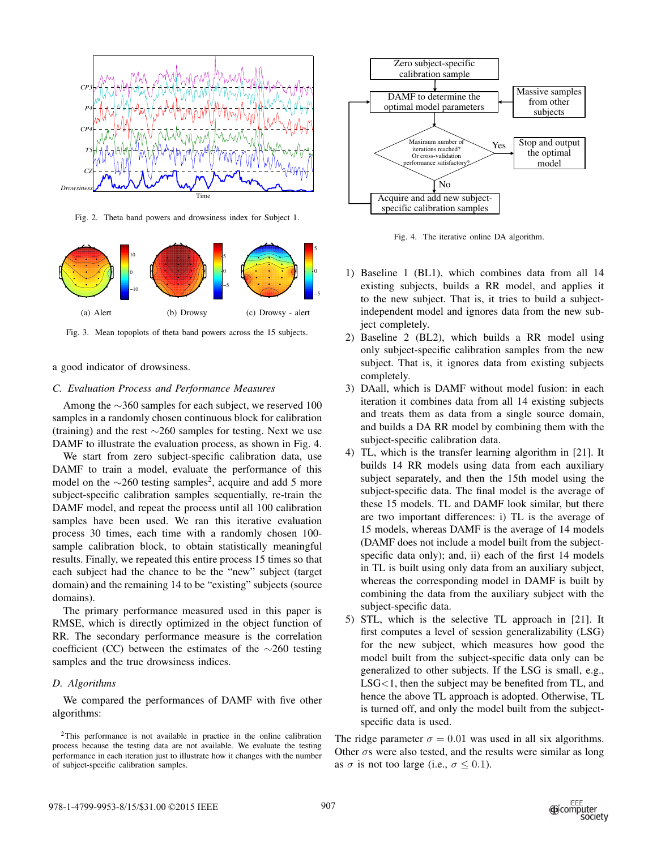

Fig. 2. Theta band powers and drowsiness index for Subject 1.



Fig. 3. Mean topoplots of theta band powers across the 15 subjects.

## a good indicator of drowsiness.

# *C. Evaluation Process and Performance Measures*

Among the  $\sim$ 360 samples for each subject, we reserved 100 samples in a randomly chosen continuous block for calibration (training) and the rest ∼260 samples for testing. Next we use DAMF to illustrate the evaluation process, as shown in Fig. 4.

We start from zero subject-specific calibration data, use DAMF to train a model, evaluate the performance of this model on the  $\sim$ 260 testing samples<sup>2</sup>, acquire and add 5 more subject-specific calibration samples sequentially, re-train the DAMF model, and repeat the process until all 100 calibration samples have been used. We ran this iterative evaluation process 30 times, each time with a randomly chosen 100 sample calibration block, to obtain statistically meaningful results. Finally, we repeated this entire process 15 times so that each subject had the chance to be the "new" subject (target domain) and the remaining 14 to be "existing" subjects (source domains).

The primary performance measured used in this paper is RMSE, which is directly optimized in the object function of RR. The secondary performance measure is the correlation coefficient (CC) between the estimates of the ∼260 testing samples and the true drowsiness indices.

### *D. Algorithms*

We compared the performances of DAMF with five other algorithms:



Fig. 4. The iterative online DA algorithm.

- 1) Baseline 1 (BL1), which combines data from all 14 existing subjects, builds a RR model, and applies it to the new subject. That is, it tries to build a subjectindependent model and ignores data from the new subject completely.
- 2) Baseline 2 (BL2), which builds a RR model using only subject-specific calibration samples from the new subject. That is, it ignores data from existing subjects completely.
- 3) DAall, which is DAMF without model fusion: in each iteration it combines data from all 14 existing subjects and treats them as data from a single source domain, and builds a DA RR model by combining them with the subject-specific calibration data.
- 4) TL, which is the transfer learning algorithm in [21]. It builds 14 RR models using data from each auxiliary subject separately, and then the 15th model using the subject-specific data. The final model is the average of these 15 models. TL and DAMF look similar, but there are two important differences: i) TL is the average of 15 models, whereas DAMF is the average of 14 models (DAMF does not include a model built from the subjectspecific data only); and, ii) each of the first 14 models in TL is built using only data from an auxiliary subject, whereas the corresponding model in DAMF is built by combining the data from the auxiliary subject with the subject-specific data.
- 5) STL, which is the selective TL approach in [21]. It first computes a level of session generalizability (LSG) for the new subject, which measures how good the model built from the subject-specific data only can be generalized to other subjects. If the LSG is small, e.g., LSG<1, then the subject may be benefited from TL, and hence the above TL approach is adopted. Otherwise, TL is turned off, and only the model built from the subjectspecific data is used.

The ridge parameter  $\sigma = 0.01$  was used in all six algorithms. Other  $\sigma s$  were also tested, and the results were similar as long as  $\sigma$  is not too large (i.e.,  $\sigma \leq 0.1$ ).

<sup>2</sup>This performance is not available in practice in the online calibration process because the testing data are not available. We evaluate the testing performance in each iteration just to illustrate how it changes with the number of subject-specific calibration samples.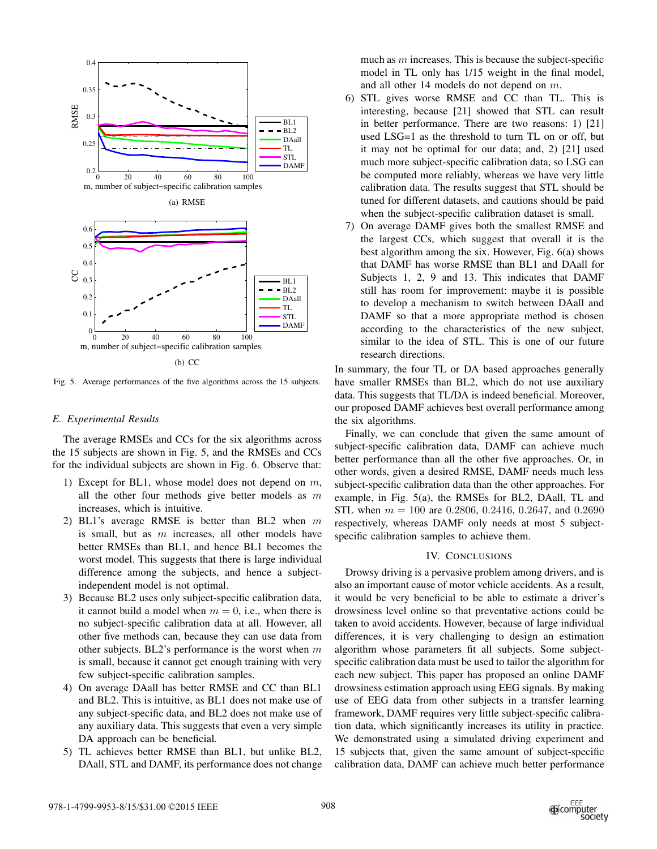

Fig. 5. Average performances of the five algorithms across the 15 subjects.

# *E. Experimental Results*

The average RMSEs and CCs for the six algorithms across the 15 subjects are shown in Fig. 5, and the RMSEs and CCs for the individual subjects are shown in Fig. 6. Observe that:

- 1) Except for BL1, whose model does not depend on  $m$ , all the other four methods give better models as  $m$ increases, which is intuitive.
- 2) BL1's average RMSE is better than BL2 when m is small, but as  $m$  increases, all other models have better RMSEs than BL1, and hence BL1 becomes the worst model. This suggests that there is large individual difference among the subjects, and hence a subjectindependent model is not optimal.
- 3) Because BL2 uses only subject-specific calibration data, it cannot build a model when  $m = 0$ , i.e., when there is no subject-specific calibration data at all. However, all other five methods can, because they can use data from other subjects. BL2's performance is the worst when  $m$ is small, because it cannot get enough training with very few subject-specific calibration samples.
- 4) On average DAall has better RMSE and CC than BL1 and BL2. This is intuitive, as BL1 does not make use of any subject-specific data, and BL2 does not make use of any auxiliary data. This suggests that even a very simple DA approach can be beneficial.
- 5) TL achieves better RMSE than BL1, but unlike BL2, DAall, STL and DAMF, its performance does not change

much as  $m$  increases. This is because the subject-specific model in TL only has 1/15 weight in the final model, and all other 14 models do not depend on m.

- 6) STL gives worse RMSE and CC than TL. This is interesting, because [21] showed that STL can result in better performance. There are two reasons: 1) [21] used LSG=1 as the threshold to turn TL on or off, but it may not be optimal for our data; and, 2) [21] used much more subject-specific calibration data, so LSG can be computed more reliably, whereas we have very little calibration data. The results suggest that STL should be tuned for different datasets, and cautions should be paid when the subject-specific calibration dataset is small.
- 7) On average DAMF gives both the smallest RMSE and the largest CCs, which suggest that overall it is the best algorithm among the six. However, Fig. 6(a) shows that DAMF has worse RMSE than BL1 and DAall for Subjects 1, 2, 9 and 13. This indicates that DAMF still has room for improvement: maybe it is possible to develop a mechanism to switch between DAall and DAMF so that a more appropriate method is chosen according to the characteristics of the new subject, similar to the idea of STL. This is one of our future research directions.

In summary, the four TL or DA based approaches generally have smaller RMSEs than BL2, which do not use auxiliary data. This suggests that TL/DA is indeed beneficial. Moreover, our proposed DAMF achieves best overall performance among the six algorithms.

Finally, we can conclude that given the same amount of subject-specific calibration data, DAMF can achieve much better performance than all the other five approaches. Or, in other words, given a desired RMSE, DAMF needs much less subject-specific calibration data than the other approaches. For example, in Fig. 5(a), the RMSEs for BL2, DAall, TL and STL when  $m = 100$  are 0.2806, 0.2416, 0.2647, and 0.2690 respectively, whereas DAMF only needs at most 5 subjectspecific calibration samples to achieve them.

## IV. CONCLUSIONS

Drowsy driving is a pervasive problem among drivers, and is also an important cause of motor vehicle accidents. As a result, it would be very beneficial to be able to estimate a driver's drowsiness level online so that preventative actions could be taken to avoid accidents. However, because of large individual differences, it is very challenging to design an estimation algorithm whose parameters fit all subjects. Some subjectspecific calibration data must be used to tailor the algorithm for each new subject. This paper has proposed an online DAMF drowsiness estimation approach using EEG signals. By making use of EEG data from other subjects in a transfer learning framework, DAMF requires very little subject-specific calibration data, which significantly increases its utility in practice. We demonstrated using a simulated driving experiment and 15 subjects that, given the same amount of subject-specific calibration data, DAMF can achieve much better performance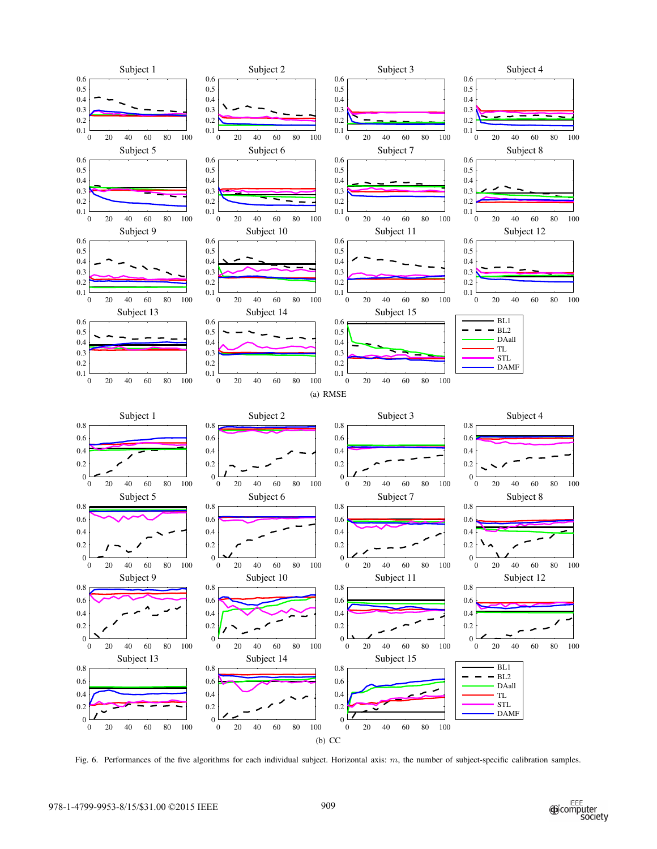

Fig. 6. Performances of the five algorithms for each individual subject. Horizontal axis: m, the number of subject-specific calibration samples.